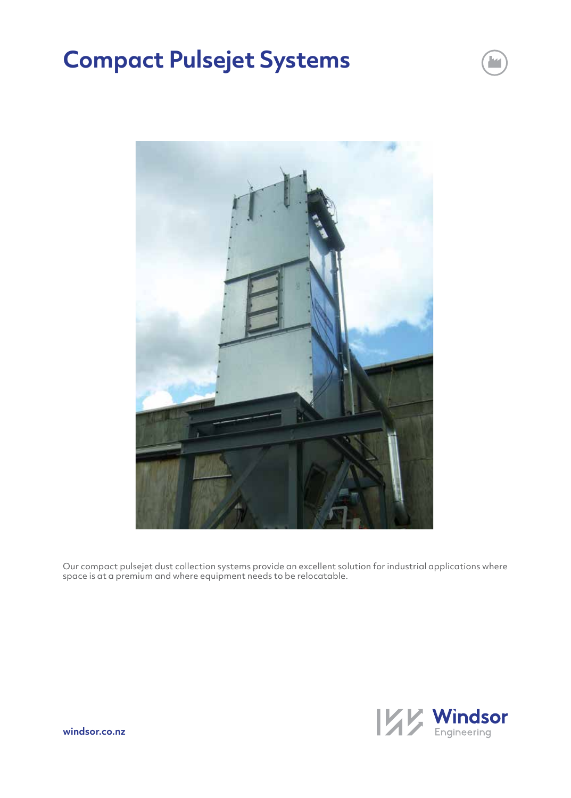# **Compact Pulsejet Systems**



Our compact pulsejet dust collection systems provide an excellent solution for industrial applications where space is at a premium and where equipment needs to be relocatable.

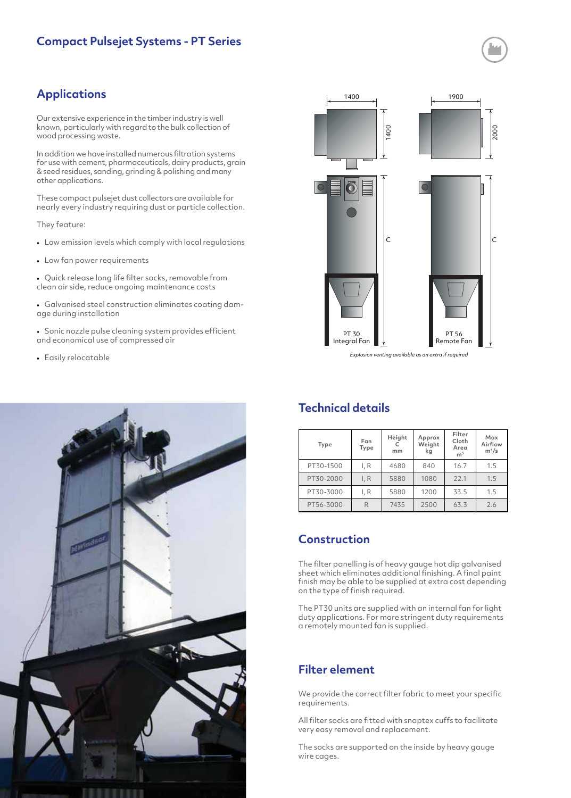# **Applications**

Our extensive experience in the timber industry is well known, particularly with regard to the bulk collection of wood processing waste.

In addition we have installed numerous filtration systems for use with cement, pharmaceuticals, dairy products, grain & seed residues, sanding, grinding & polishing and many other applications.

These compact pulsejet dust collectors are available for nearly every industry requiring dust or particle collection.

They feature:

- Low emission levels which comply with local regulations
- Low fan power requirements

• Quick release long life filter socks, removable from clean air side, reduce ongoing maintenance costs

• Galvanised steel construction eliminates coating damage during installation

• Sonic nozzle pulse cleaning system provides efficient and economical use of compressed air

• Easily relocatable





#### *Explosion venting available as an extra if required*

## **Technical details**

| Type      | Fan<br>Type | Height<br>mm | Approx<br>Weight<br>kg | Filter<br>Cloth<br>Area<br>m <sup>3</sup> | Max<br>Airflow<br>$m^3/s$ |
|-----------|-------------|--------------|------------------------|-------------------------------------------|---------------------------|
| PT30-1500 | I, R        | 4680         | 840                    | 16.7                                      | 1.5                       |
| PT30-2000 | I, R        | 5880         | 1080                   | 22.1                                      | 1.5                       |
| PT30-3000 | I, R        | 5880         | 1200                   | 33.5                                      | 1.5                       |
| PT56-3000 | R           | 7435         | 2500                   | 63.3                                      | 2.6                       |

## **Construction**

The filter panelling is of heavy gauge hot dip galvanised sheet which eliminates additional finishing. A final paint finish may be able to be supplied at extra cost depending on the type of finish required.

The PT30 units are supplied with an internal fan for light duty applications. For more stringent duty requirements a remotely mounted fan is supplied.

## **Filter element**

We provide the correct filter fabric to meet your specific requirements.

All filter socks are fitted with snaptex cuffs to facilitate very easy removal and replacement.

The socks are supported on the inside by heavy gauge wire cages.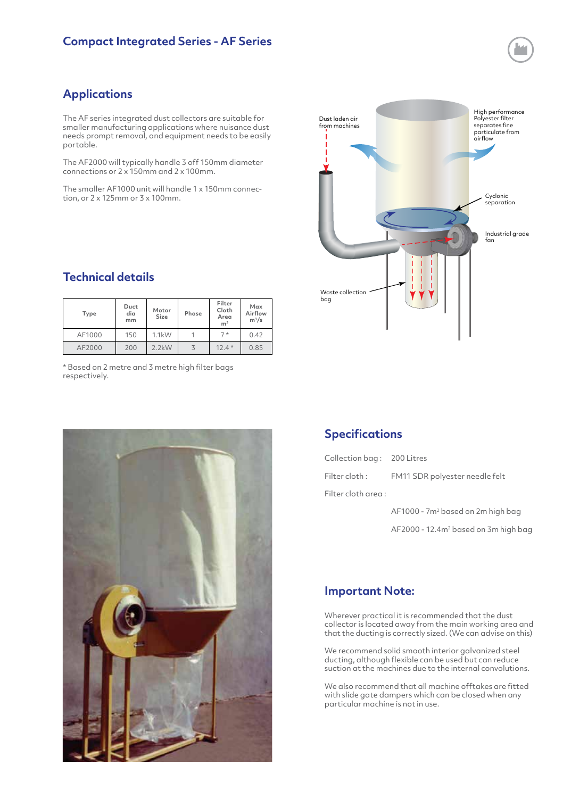# **Applications**

The AF series integrated dust collectors are suitable for smaller manufacturing applications where nuisance dust needs prompt removal, and equipment needs to be easily portable.

The AF2000 will typically handle 3 off 150mm diameter connections or 2 x 150mm and 2 x 100mm.

The smaller AF1000 unit will handle 1 x 150mm connection, or 2 x 125mm or 3 x 100mm.

## **Technical details**

| Type   | Duct<br>dia<br>mm | Motor<br>Size | Phase | Filter<br>Cloth<br>Area<br>m <sup>3</sup> | Max<br>Airflow<br>$m^3/s$ |
|--------|-------------------|---------------|-------|-------------------------------------------|---------------------------|
| AF1000 | 150               | 1.1kW         |       | $7*$                                      | 0.42                      |
| AF2000 | 200               | $2.2$ kW      |       | $12.4*$                                   | 0.85                      |

\* Based on 2 metre and 3 metre high filter bags respectively.





## **Specifications**

| Collection bag: 200 Litres |                                               |  |
|----------------------------|-----------------------------------------------|--|
|                            | Filter cloth: FM11 SDR polyester needle felt  |  |
| Filter cloth area :        |                                               |  |
|                            | AF1000 - 7m <sup>2</sup> based on 2m high bag |  |

AF2000 - 12.4m<sup>2</sup> based on 3m high bag

### **Important Note:**

Wherever practical it is recommended that the dust collector is located away from the main working area and that the ducting is correctly sized. (We can advise on this)

We recommend solid smooth interior galvanized steel ducting, although flexible can be used but can reduce suction at the machines due to the internal convolutions.

We also recommend that all machine offtakes are fitted with slide gate dampers which can be closed when any particular machine is not in use.